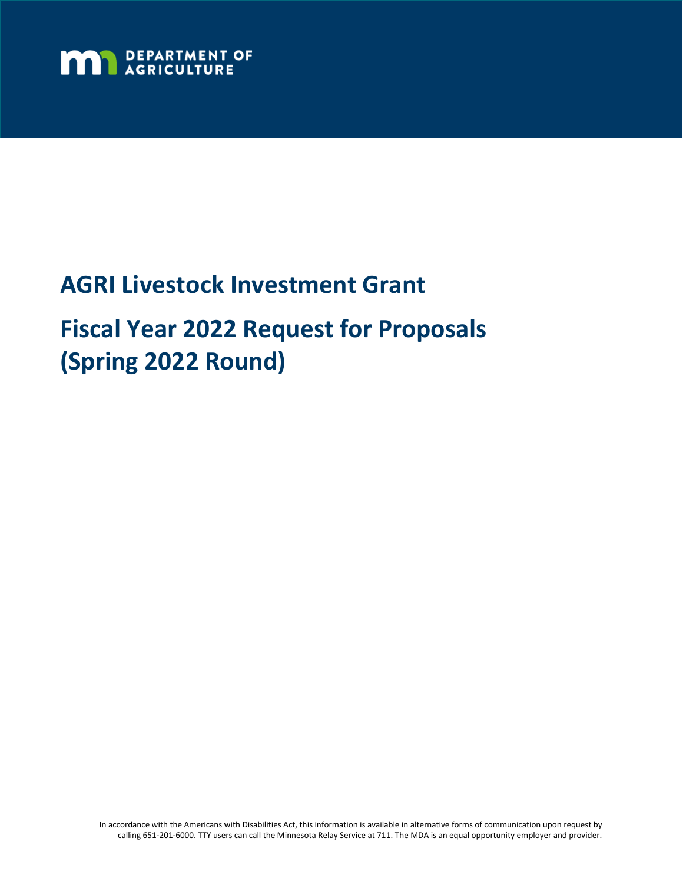

# **AGRI Livestock Investment Grant Fiscal Year 2022 Request for Proposals (Spring 2022 Round)**

In accordance with the Americans with Disabilities Act, this information is available in alternative forms of communication upon request by calling 651-201-6000. TTY users can call the Minnesota Relay Service at 711. The MDA is an equal opportunity employer and provider.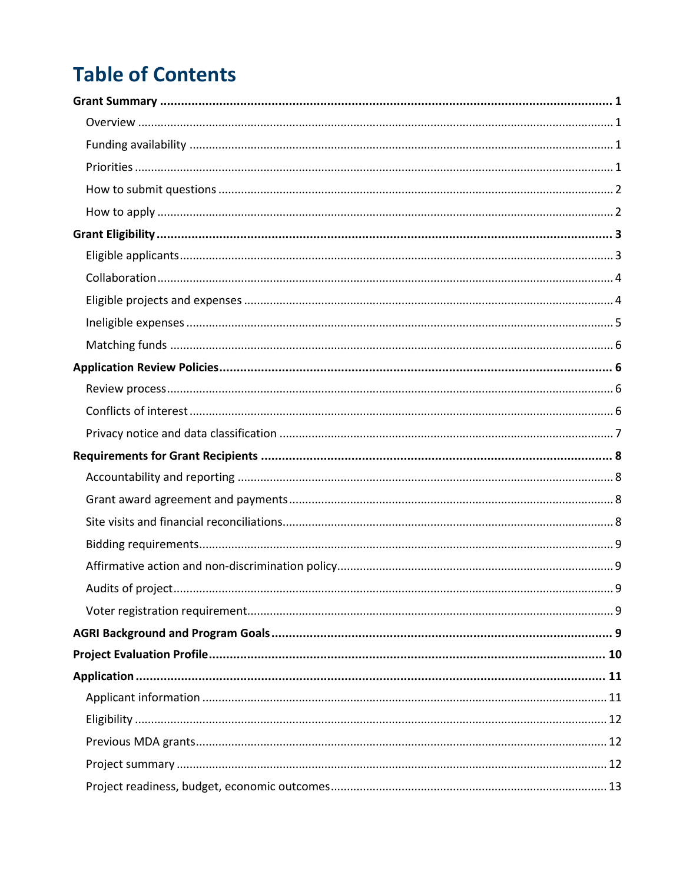## **Table of Contents**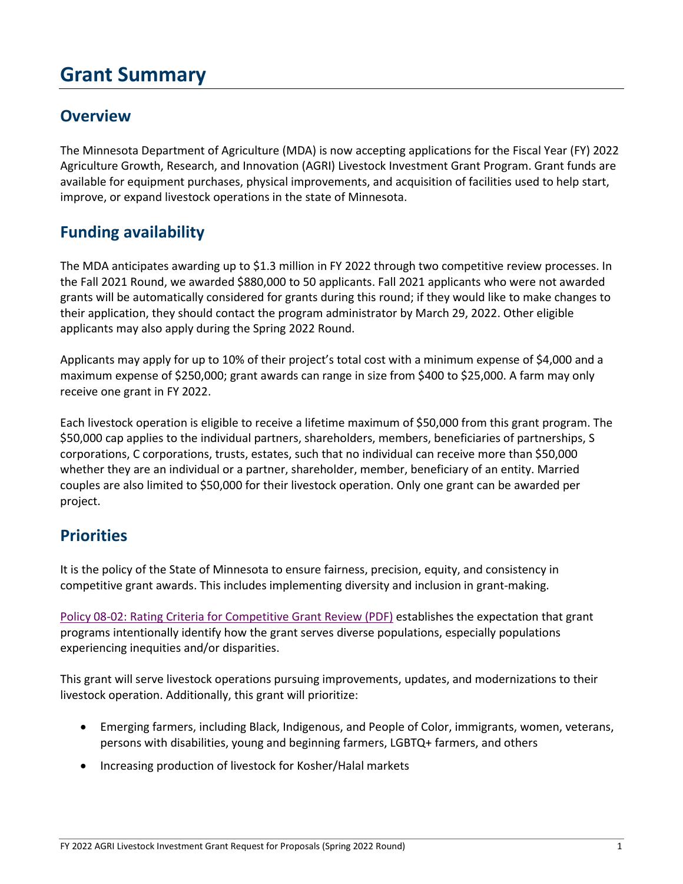## <span id="page-2-0"></span>**Grant Summary**

### <span id="page-2-1"></span>**Overview**

The Minnesota Department of Agriculture (MDA) is now accepting applications for the Fiscal Year (FY) 2022 Agriculture Growth, Research, and Innovation (AGRI) Livestock Investment Grant Program. Grant funds are available for equipment purchases, physical improvements, and acquisition of facilities used to help start, improve, or expand livestock operations in the state of Minnesota.

## <span id="page-2-2"></span>**Funding availability**

The MDA anticipates awarding up to \$1.3 million in FY 2022 through two competitive review processes. In the Fall 2021 Round, we awarded \$880,000 to 50 applicants. Fall 2021 applicants who were not awarded grants will be automatically considered for grants during this round; if they would like to make changes to their application, they should contact the program administrator by March 29, 2022. Other eligible applicants may also apply during the Spring 2022 Round.

Applicants may apply for up to 10% of their project's total cost with a minimum expense of \$4,000 and a maximum expense of \$250,000; grant awards can range in size from \$400 to \$25,000. A farm may only receive one grant in FY 2022.

Each livestock operation is eligible to receive a lifetime maximum of \$50,000 from this grant program. The \$50,000 cap applies to the individual partners, shareholders, members, beneficiaries of partnerships, S corporations, C corporations, trusts, estates, such that no individual can receive more than \$50,000 whether they are an individual or a partner, shareholder, member, beneficiary of an entity. Married couples are also limited to \$50,000 for their livestock operation. Only one grant can be awarded per project.

### <span id="page-2-3"></span>**Priorities**

It is the policy of the State of Minnesota to ensure fairness, precision, equity, and consistency in competitive grant awards. This includes implementing diversity and inclusion in grant-making.

[Policy 08-02: Rating Criteria for Competitive Grant Review \(PDF\)](https://mn.gov/admin/assets/08-02%20Grants%20Policy%20Revision%20September%202017%20final_tcm36-312046.pdf) establishes the expectation that grant programs intentionally identify how the grant serves diverse populations, especially populations experiencing inequities and/or disparities.

This grant will serve livestock operations pursuing improvements, updates, and modernizations to their livestock operation. Additionally, this grant will prioritize:

- Emerging farmers, including Black, Indigenous, and People of Color, immigrants, women, veterans, persons with disabilities, young and beginning farmers, LGBTQ+ farmers, and others
- Increasing production of livestock for Kosher/Halal markets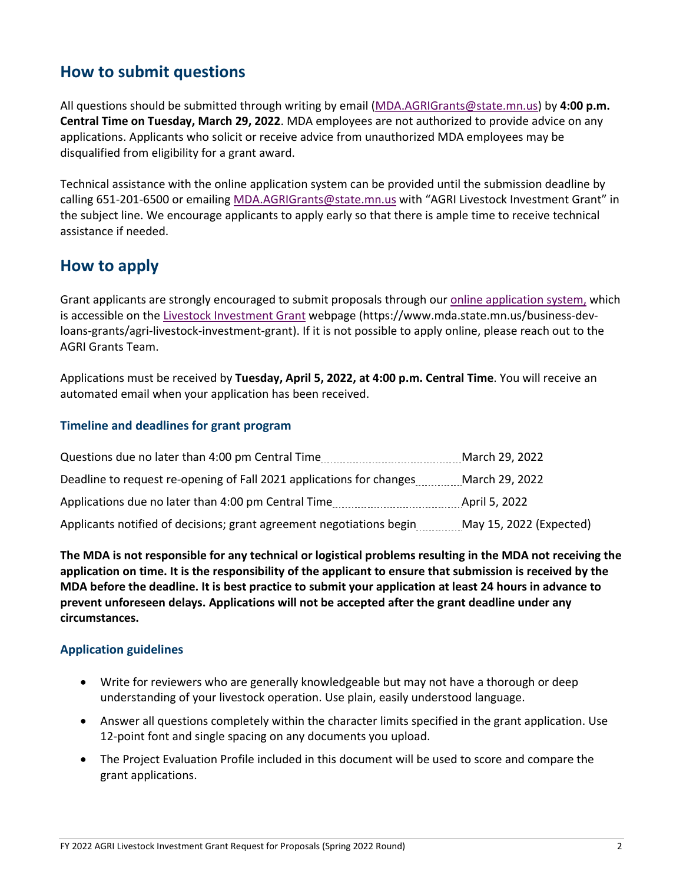## <span id="page-3-0"></span>**How to submit questions**

All questions should be submitted through writing by email [\(MDA.AGRIGrants@state.mn.us\)](mailto:MDA.AGRIGrants@state.mn.us?subject=AGRI%20Livestock%20Investment%20Grant) by **4:00 p.m. Central Time on Tuesday, March 29, 2022**. MDA employees are not authorized to provide advice on any applications. Applicants who solicit or receive advice from unauthorized MDA employees may be disqualified from eligibility for a grant award.

Technical assistance with the online application system can be provided until the submission deadline by calling 651-201-6500 or emailing [MDA.AGRIGrants@state.mn.us](mailto:MDA.AGRIGrants@state.mn.us?subject=AGRI%20Livestock%20Investment%20Grant) with "AGRI Livestock Investment Grant" in the subject line. We encourage applicants to apply early so that there is ample time to receive technical assistance if needed.

### <span id="page-3-1"></span>**How to apply**

Grant applicants are strongly encouraged to submit proposals through our [online application system,](https://www.grantinterface.com/Home/Logon?urlkey=statemn) which is accessible on the [Livestock Investment Grant](https://www.mda.state.mn.us/business-dev-loans-grants/agri-livestock-investment-grant) webpage (https://www.mda.state.mn.us/business-devloans-grants/agri-livestock-investment-grant). If it is not possible to apply online, please reach out to the AGRI Grants Team.

Applications must be received by **Tuesday, April 5, 2022, at 4:00 p.m. Central Time**. You will receive an automated email when your application has been received.

### **Timeline and deadlines for grant program**

| Questions due no later than 4:00 pm Central Time                     | March 29, 2022          |
|----------------------------------------------------------------------|-------------------------|
| Deadline to request re-opening of Fall 2021 applications for changes | March 29, 2022          |
| Applications due no later than 4:00 pm Central Time                  | April 5, 2022           |
| Applicants notified of decisions; grant agreement negotiations begin | May 15, 2022 (Expected) |

**The MDA is not responsible for any technical or logistical problems resulting in the MDA not receiving the application on time. It is the responsibility of the applicant to ensure that submission is received by the MDA before the deadline. It is best practice to submit your application at least 24 hours in advance to prevent unforeseen delays. Applications will not be accepted after the grant deadline under any circumstances.**

### **Application guidelines**

- Write for reviewers who are generally knowledgeable but may not have a thorough or deep understanding of your livestock operation. Use plain, easily understood language.
- Answer all questions completely within the character limits specified in the grant application. Use 12-point font and single spacing on any documents you upload.
- The Project Evaluation Profile included in this document will be used to score and compare the grant applications.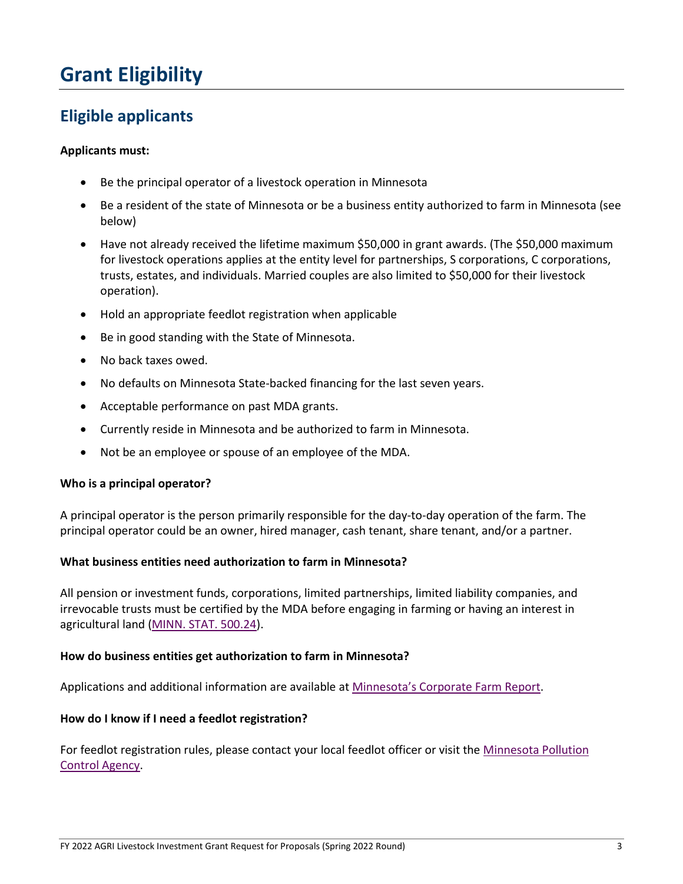## <span id="page-4-0"></span>**Grant Eligibility**

## <span id="page-4-1"></span>**Eligible applicants**

### **Applicants must:**

- Be the principal operator of a livestock operation in Minnesota
- Be a resident of the state of Minnesota or be a business entity authorized to farm in Minnesota (see below)
- Have not already received the lifetime maximum \$50,000 in grant awards. (The \$50,000 maximum for livestock operations applies at the entity level for partnerships, S corporations, C corporations, trusts, estates, and individuals. Married couples are also limited to \$50,000 for their livestock operation).
- Hold an appropriate feedlot registration when applicable
- Be in good standing with the State of Minnesota.
- No back taxes owed.
- No defaults on Minnesota State-backed financing for the last seven years.
- Acceptable performance on past MDA grants.
- Currently reside in Minnesota and be authorized to farm in Minnesota.
- Not be an employee or spouse of an employee of the MDA.

#### **Who is a principal operator?**

A principal operator is the person primarily responsible for the day-to-day operation of the farm. The principal operator could be an owner, hired manager, cash tenant, share tenant, and/or a partner.

### **What business entities need authorization to farm in Minnesota?**

All pension or investment funds, corporations, limited partnerships, limited liability companies, and irrevocable trusts must be certified by the MDA before engaging in farming or having an interest in agricultural land [\(MINN. STAT. 500.24\)](https://www.revisor.mn.gov/statutes/cite/500.24).

#### **How do business entities get authorization to farm in Minnesota?**

Applications and additional information are available at [Minnesota's Corporate Farm Report.](https://www.mda.state.mn.us/business-dev-loans-grants/minnesotas-corporate-farm-report)

#### **How do I know if I need a feedlot registration?**

For feedlot registration rules, please contact your local feedlot officer or visit the [Minnesota Pollution](https://www.pca.state.mn.us/quick-links/feedlots)  [Control Agency.](https://www.pca.state.mn.us/quick-links/feedlots)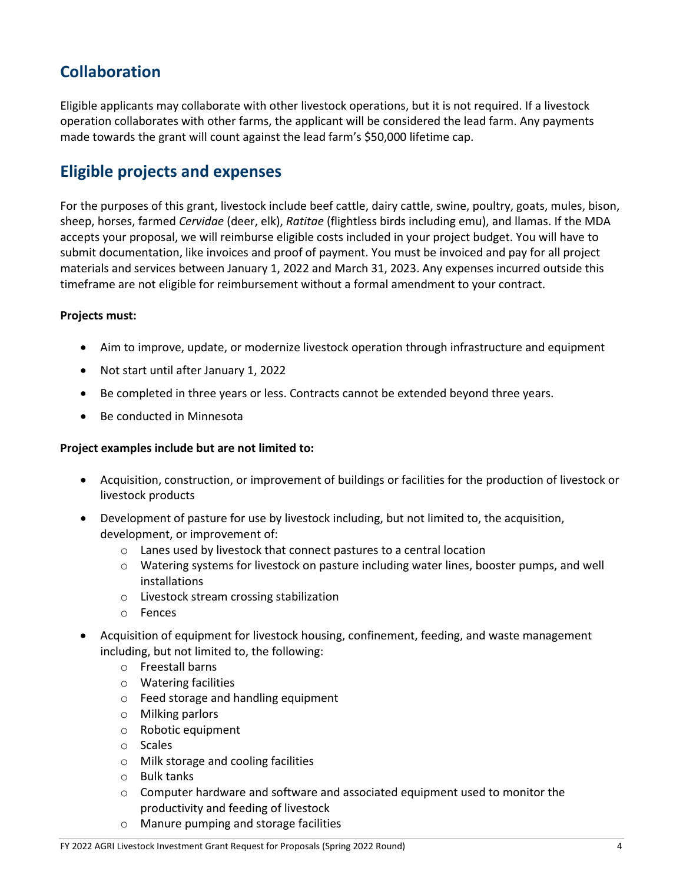## <span id="page-5-0"></span>**Collaboration**

Eligible applicants may collaborate with other livestock operations, but it is not required. If a livestock operation collaborates with other farms, the applicant will be considered the lead farm. Any payments made towards the grant will count against the lead farm's \$50,000 lifetime cap.

## <span id="page-5-1"></span>**Eligible projects and expenses**

For the purposes of this grant, livestock include beef cattle, dairy cattle, swine, poultry, goats, mules, bison, sheep, horses, farmed *Cervidae* (deer, elk), *Ratitae* (flightless birds including emu), and llamas. If the MDA accepts your proposal, we will reimburse eligible costs included in your project budget. You will have to submit documentation, like invoices and proof of payment. You must be invoiced and pay for all project materials and services between January 1, 2022 and March 31, 2023. Any expenses incurred outside this timeframe are not eligible for reimbursement without a formal amendment to your contract.

### **Projects must:**

- Aim to improve, update, or modernize livestock operation through infrastructure and equipment
- Not start until after January 1, 2022
- Be completed in three years or less. Contracts cannot be extended beyond three years.
- Be conducted in Minnesota

### **Project examples include but are not limited to:**

- Acquisition, construction, or improvement of buildings or facilities for the production of livestock or livestock products
- Development of pasture for use by livestock including, but not limited to, the acquisition, development, or improvement of:
	- o Lanes used by livestock that connect pastures to a central location
	- o Watering systems for livestock on pasture including water lines, booster pumps, and well installations
	- o Livestock stream crossing stabilization
	- o Fences
- Acquisition of equipment for livestock housing, confinement, feeding, and waste management including, but not limited to, the following:
	- o Freestall barns
	- o Watering facilities
	- o Feed storage and handling equipment
	- o Milking parlors
	- o Robotic equipment
	- o Scales
	- o Milk storage and cooling facilities
	- o Bulk tanks
	- $\circ$  Computer hardware and software and associated equipment used to monitor the productivity and feeding of livestock
	- o Manure pumping and storage facilities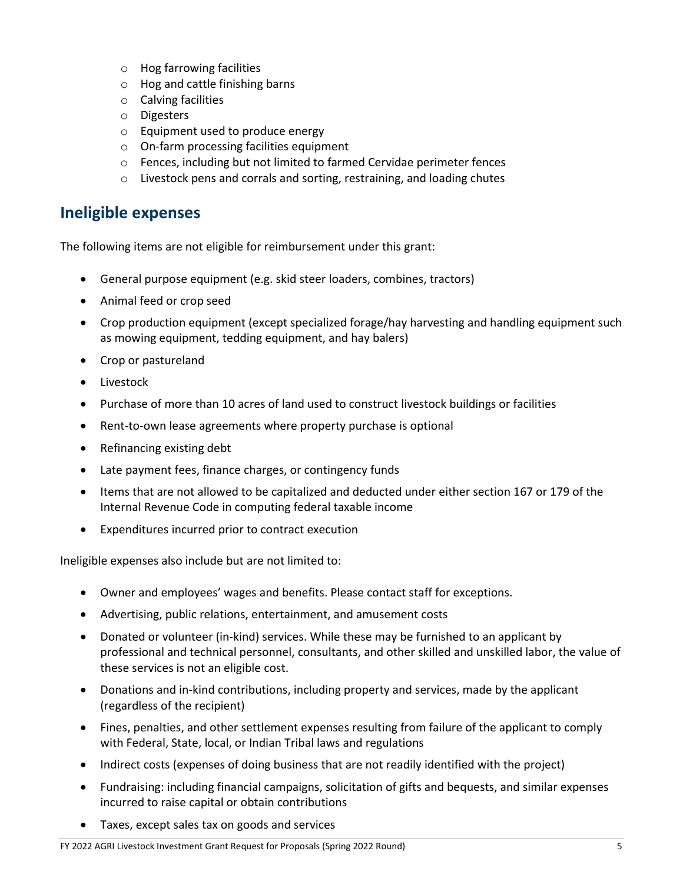- o Hog farrowing facilities
- o Hog and cattle finishing barns
- o Calving facilities
- o Digesters
- o Equipment used to produce energy
- o On-farm processing facilities equipment
- o Fences, including but not limited to farmed Cervidae perimeter fences
- o Livestock pens and corrals and sorting, restraining, and loading chutes

### <span id="page-6-0"></span>**Ineligible expenses**

The following items are not eligible for reimbursement under this grant:

- General purpose equipment (e.g. skid steer loaders, combines, tractors)
- Animal feed or crop seed
- Crop production equipment (except specialized forage/hay harvesting and handling equipment such as mowing equipment, tedding equipment, and hay balers)
- Crop or pastureland
- Livestock
- Purchase of more than 10 acres of land used to construct livestock buildings or facilities
- Rent-to-own lease agreements where property purchase is optional
- Refinancing existing debt
- Late payment fees, finance charges, or contingency funds
- Items that are not allowed to be capitalized and deducted under either section 167 or 179 of the Internal Revenue Code in computing federal taxable income
- Expenditures incurred prior to contract execution

Ineligible expenses also include but are not limited to:

- Owner and employees' wages and benefits. Please contact staff for exceptions.
- Advertising, public relations, entertainment, and amusement costs
- Donated or volunteer (in-kind) services. While these may be furnished to an applicant by professional and technical personnel, consultants, and other skilled and unskilled labor, the value of these services is not an eligible cost.
- Donations and in-kind contributions, including property and services, made by the applicant (regardless of the recipient)
- Fines, penalties, and other settlement expenses resulting from failure of the applicant to comply with Federal, State, local, or Indian Tribal laws and regulations
- Indirect costs (expenses of doing business that are not readily identified with the project)
- Fundraising: including financial campaigns, solicitation of gifts and bequests, and similar expenses incurred to raise capital or obtain contributions
- Taxes, except sales tax on goods and services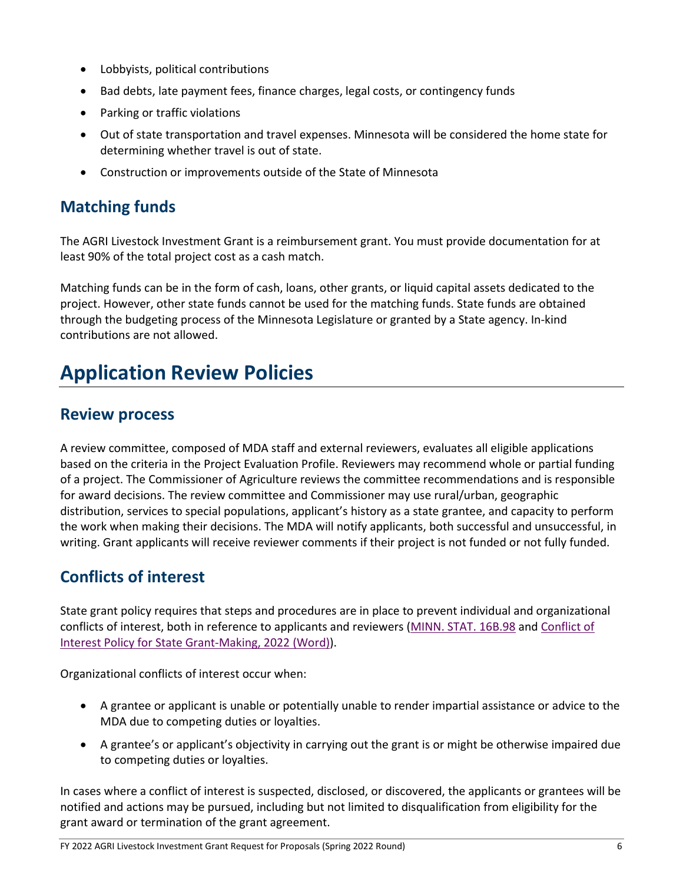- Lobbyists, political contributions
- Bad debts, late payment fees, finance charges, legal costs, or contingency funds
- Parking or traffic violations
- Out of state transportation and travel expenses. Minnesota will be considered the home state for determining whether travel is out of state.
- Construction or improvements outside of the State of Minnesota

## <span id="page-7-0"></span>**Matching funds**

The AGRI Livestock Investment Grant is a reimbursement grant. You must provide documentation for at least 90% of the total project cost as a cash match.

Matching funds can be in the form of cash, loans, other grants, or liquid capital assets dedicated to the project. However, other state funds cannot be used for the matching funds. State funds are obtained through the budgeting process of the Minnesota Legislature or granted by a State agency. In-kind contributions are not allowed.

## <span id="page-7-1"></span>**Application Review Policies**

## <span id="page-7-2"></span>**Review process**

A review committee, composed of MDA staff and external reviewers, evaluates all eligible applications based on the criteria in the Project Evaluation Profile. Reviewers may recommend whole or partial funding of a project. The Commissioner of Agriculture reviews the committee recommendations and is responsible for award decisions. The review committee and Commissioner may use rural/urban, geographic distribution, services to special populations, applicant's history as a state grantee, and capacity to perform the work when making their decisions. The MDA will notify applicants, both successful and unsuccessful, in writing. Grant applicants will receive reviewer comments if their project is not funded or not fully funded.

## <span id="page-7-3"></span>**Conflicts of interest**

State grant policy requires that steps and procedures are in place to prevent individual and organizational conflicts of interest, both in reference to applicants and reviewers [\(MINN. STAT. 16B.98](https://www.revisor.mn.gov/statutes/?id=16B.98) and [Conflict of](https://mn.gov/admin/assets/OGM%20Policy%2008-01%20Conflict%20of%20Interest%20in%20State%20Grant-Making%2001.01.2022_tcm36-515734.docx)  [Interest Policy for State Grant-Making, 2022 \(Word\)\)](https://mn.gov/admin/assets/OGM%20Policy%2008-01%20Conflict%20of%20Interest%20in%20State%20Grant-Making%2001.01.2022_tcm36-515734.docx).

Organizational conflicts of interest occur when:

- A grantee or applicant is unable or potentially unable to render impartial assistance or advice to the MDA due to competing duties or loyalties.
- A grantee's or applicant's objectivity in carrying out the grant is or might be otherwise impaired due to competing duties or loyalties.

In cases where a conflict of interest is suspected, disclosed, or discovered, the applicants or grantees will be notified and actions may be pursued, including but not limited to disqualification from eligibility for the grant award or termination of the grant agreement.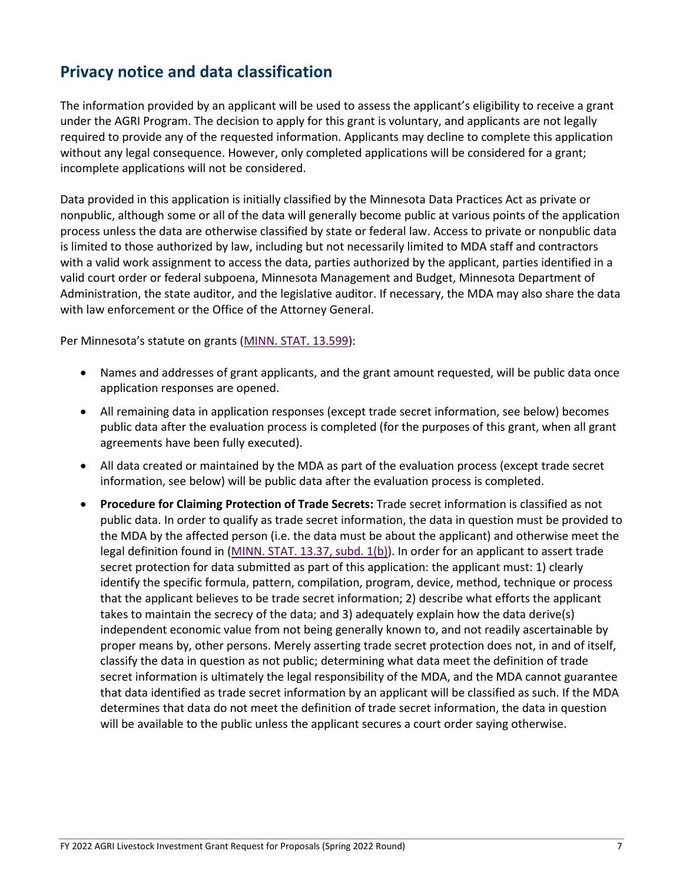## <span id="page-8-0"></span>**Privacy notice and data classification**

The information provided by an applicant will be used to assess the applicant's eligibility to receive a grant under the AGRI Program. The decision to apply for this grant is voluntary, and applicants are not legally required to provide any of the requested information. Applicants may decline to complete this application without any legal consequence. However, only completed applications will be considered for a grant; incomplete applications will not be considered.

Data provided in this application is initially classified by the Minnesota Data Practices Act as private or nonpublic, although some or all of the data will generally become public at various points of the application process unless the data are otherwise classified by state or federal law. Access to private or nonpublic data is limited to those authorized by law, including but not necessarily limited to MDA staff and contractors with a valid work assignment to access the data, parties authorized by the applicant, parties identified in a valid court order or federal subpoena, Minnesota Management and Budget, Minnesota Department of Administration, the state auditor, and the legislative auditor. If necessary, the MDA may also share the data with law enforcement or the Office of the Attorney General.

Per Minnesota's statute on grants [\(MINN. STAT. 13.599\)](https://www.revisor.mn.gov/statutes/?id=13.599):

- Names and addresses of grant applicants, and the grant amount requested, will be public data once application responses are opened.
- All remaining data in application responses (except trade secret information, see below) becomes public data after the evaluation process is completed (for the purposes of this grant, when all grant agreements have been fully executed).
- All data created or maintained by the MDA as part of the evaluation process (except trade secret information, see below) will be public data after the evaluation process is completed.
- **Procedure for Claiming Protection of Trade Secrets:** Trade secret information is classified as not public data. In order to qualify as trade secret information, the data in question must be provided to the MDA by the affected person (i.e. the data must be about the applicant) and otherwise meet the legal definition found in [\(MINN. STAT. 13.37, subd. 1\(b\)\)](https://www.revisor.mn.gov/statutes/cite/13.37). In order for an applicant to assert trade secret protection for data submitted as part of this application: the applicant must: 1) clearly identify the specific formula, pattern, compilation, program, device, method, technique or process that the applicant believes to be trade secret information; 2) describe what efforts the applicant takes to maintain the secrecy of the data; and 3) adequately explain how the data derive(s) independent economic value from not being generally known to, and not readily ascertainable by proper means by, other persons. Merely asserting trade secret protection does not, in and of itself, classify the data in question as not public; determining what data meet the definition of trade secret information is ultimately the legal responsibility of the MDA, and the MDA cannot guarantee that data identified as trade secret information by an applicant will be classified as such. If the MDA determines that data do not meet the definition of trade secret information, the data in question will be available to the public unless the applicant secures a court order saying otherwise.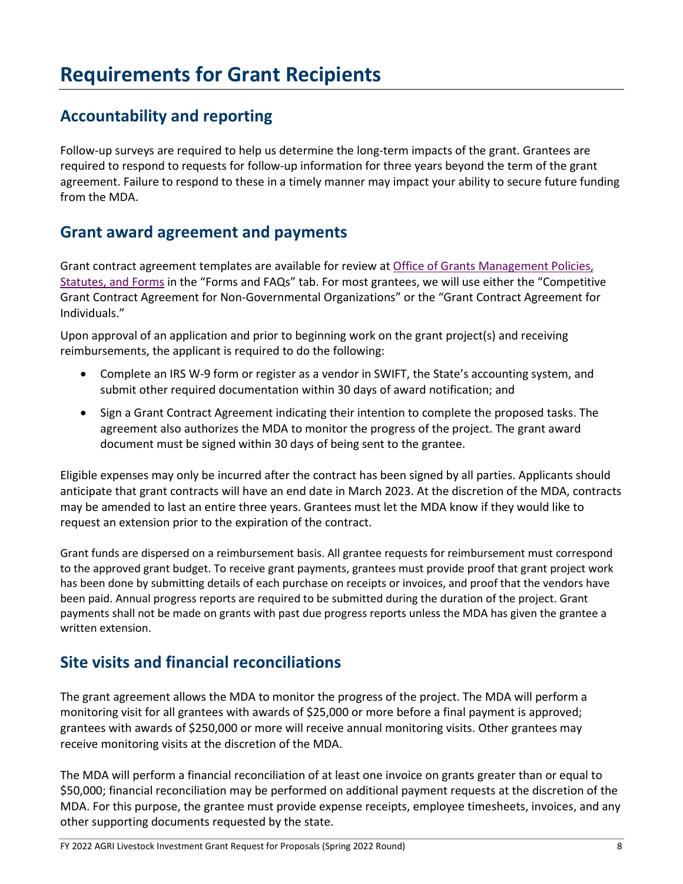## <span id="page-9-0"></span>**Requirements for Grant Recipients**

## <span id="page-9-1"></span>**Accountability and reporting**

Follow-up surveys are required to help us determine the long-term impacts of the grant. Grantees are required to respond to requests for follow-up information for three years beyond the term of the grant agreement. Failure to respond to these in a timely manner may impact your ability to secure future funding from the MDA.

## <span id="page-9-2"></span>**Grant award agreement and payments**

Grant contract agreement templates are available for review a[t Office of Grants Management Policies,](https://mn.gov/admin/government/grants/policies-statutes-forms/)  [Statutes, and Forms](https://mn.gov/admin/government/grants/policies-statutes-forms/) in the "Forms and FAQs" tab. For most grantees, we will use either the "Competitive Grant Contract Agreement for Non-Governmental Organizations" or the "Grant Contract Agreement for Individuals."

Upon approval of an application and prior to beginning work on the grant project(s) and receiving reimbursements, the applicant is required to do the following:

- Complete an IRS W-9 form or register as a vendor in SWIFT, the State's accounting system, and submit other required documentation within 30 days of award notification; and
- Sign a Grant Contract Agreement indicating their intention to complete the proposed tasks. The agreement also authorizes the MDA to monitor the progress of the project. The grant award document must be signed within 30 days of being sent to the grantee.

Eligible expenses may only be incurred after the contract has been signed by all parties. Applicants should anticipate that grant contracts will have an end date in March 2023. At the discretion of the MDA, contracts may be amended to last an entire three years. Grantees must let the MDA know if they would like to request an extension prior to the expiration of the contract.

Grant funds are dispersed on a reimbursement basis. All grantee requests for reimbursement must correspond to the approved grant budget. To receive grant payments, grantees must provide proof that grant project work has been done by submitting details of each purchase on receipts or invoices, and proof that the vendors have been paid. Annual progress reports are required to be submitted during the duration of the project. Grant payments shall not be made on grants with past due progress reports unless the MDA has given the grantee a written extension.

## <span id="page-9-3"></span>**Site visits and financial reconciliations**

The grant agreement allows the MDA to monitor the progress of the project. The MDA will perform a monitoring visit for all grantees with awards of \$25,000 or more before a final payment is approved; grantees with awards of \$250,000 or more will receive annual monitoring visits. Other grantees may receive monitoring visits at the discretion of the MDA.

The MDA will perform a financial reconciliation of at least one invoice on grants greater than or equal to \$50,000; financial reconciliation may be performed on additional payment requests at the discretion of the MDA. For this purpose, the grantee must provide expense receipts, employee timesheets, invoices, and any other supporting documents requested by the state.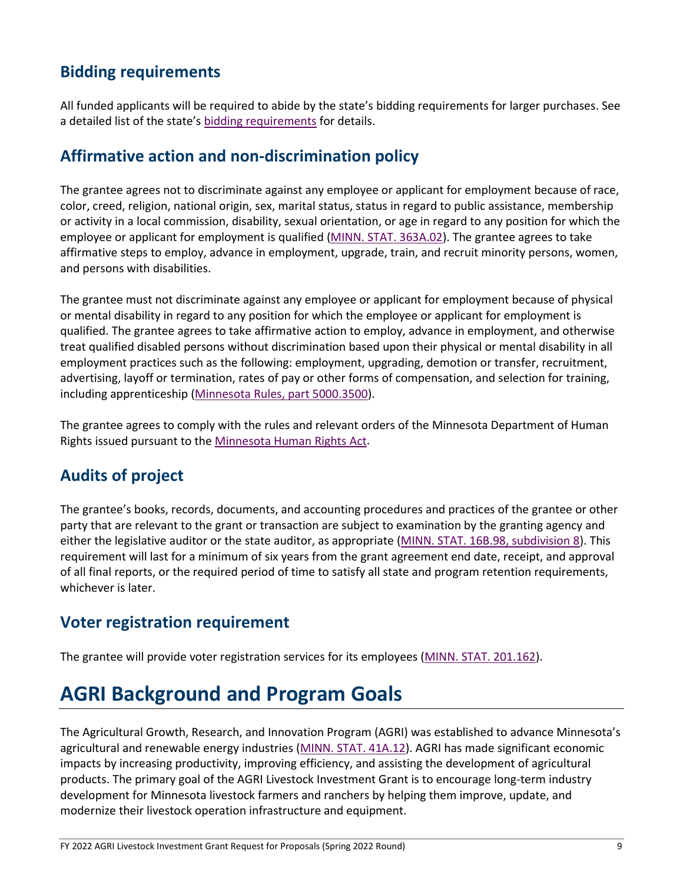## <span id="page-10-0"></span>**Bidding requirements**

All funded applicants will be required to abide by the state's bidding requirements for larger purchases. See a detailed list of the state's [bidding requirements](https://www.mda.state.mn.us/business-dev-loans-grants/bidding-requirements) for details.

## <span id="page-10-1"></span>**Affirmative action and non-discrimination policy**

The grantee agrees not to discriminate against any employee or applicant for employment because of race, color, creed, religion, national origin, sex, marital status, status in regard to public assistance, membership or activity in a local commission, disability, sexual orientation, or age in regard to any position for which the employee or applicant for employment is qualified [\(MINN. STAT. 363A.02\)](https://www.revisor.mn.gov/statutes/?id=363A.02). The grantee agrees to take affirmative steps to employ, advance in employment, upgrade, train, and recruit minority persons, women, and persons with disabilities.

The grantee must not discriminate against any employee or applicant for employment because of physical or mental disability in regard to any position for which the employee or applicant for employment is qualified. The grantee agrees to take affirmative action to employ, advance in employment, and otherwise treat qualified disabled persons without discrimination based upon their physical or mental disability in all employment practices such as the following: employment, upgrading, demotion or transfer, recruitment, advertising, layoff or termination, rates of pay or other forms of compensation, and selection for training, including apprenticeship [\(Minnesota Rules, part 5000.3500\)](https://www.revisor.mn.gov/rules/?id=5000.3500).

The grantee agrees to comply with the rules and relevant orders of the Minnesota Department of Human Rights issued pursuant to th[e Minnesota Human Rights Act.](https://mn.gov/mdhr/yourrights/mhra/)

## <span id="page-10-2"></span>**Audits of project**

The grantee's books, records, documents, and accounting procedures and practices of the grantee or other party that are relevant to the grant or transaction are subject to examination by the granting agency and either the legislative auditor or the state auditor, as appropriate [\(MINN. STAT. 16B.98, subdivision 8\)](https://www.revisor.mn.gov/statutes/cite/16B.98#stat.16B.98.8). This requirement will last for a minimum of six years from the grant agreement end date, receipt, and approval of all final reports, or the required period of time to satisfy all state and program retention requirements, whichever is later.

### <span id="page-10-3"></span>**Voter registration requirement**

The grantee will provide voter registration services for its employees [\(MINN. STAT. 201.162\)](https://www.revisor.mn.gov/statutes/cite/201.162).

## <span id="page-10-4"></span>**AGRI Background and Program Goals**

The Agricultural Growth, Research, and Innovation Program (AGRI) was established to advance Minnesota's agricultural and renewable energy industries [\(MINN. STAT. 41A.12\)](https://www.revisor.mn.gov/statutes/cite/41A.12). AGRI has made significant economic impacts by increasing productivity, improving efficiency, and assisting the development of agricultural products. The primary goal of the AGRI Livestock Investment Grant is to encourage long-term industry development for Minnesota livestock farmers and ranchers by helping them improve, update, and modernize their livestock operation infrastructure and equipment.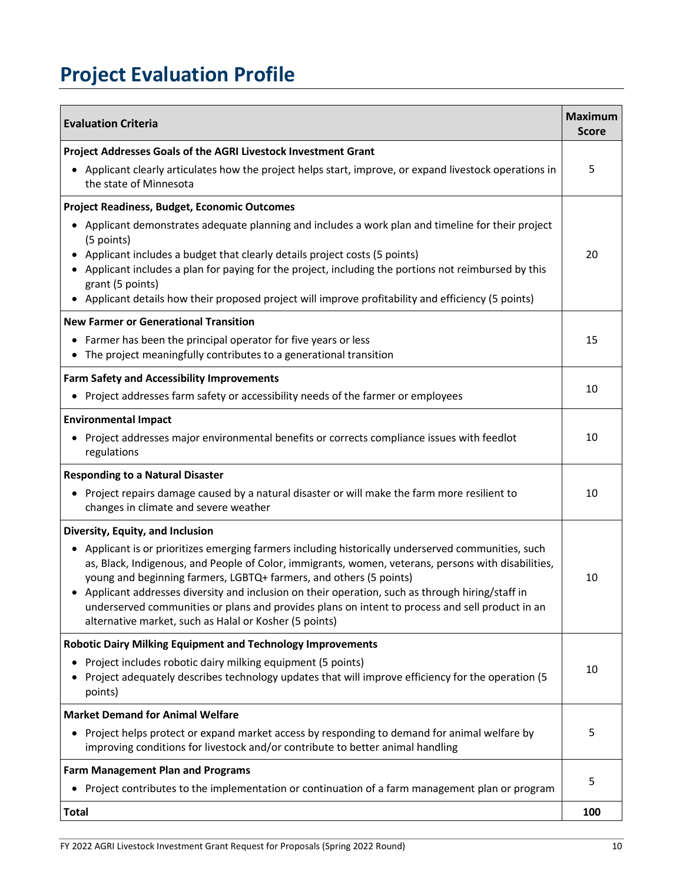# <span id="page-11-0"></span>**Project Evaluation Profile**

| <b>Evaluation Criteria</b>                                                                                                                                                                                                                                                                                                                                                                                                                                                                                                                                  | <b>Maximum</b><br><b>Score</b> |
|-------------------------------------------------------------------------------------------------------------------------------------------------------------------------------------------------------------------------------------------------------------------------------------------------------------------------------------------------------------------------------------------------------------------------------------------------------------------------------------------------------------------------------------------------------------|--------------------------------|
| Project Addresses Goals of the AGRI Livestock Investment Grant                                                                                                                                                                                                                                                                                                                                                                                                                                                                                              |                                |
| • Applicant clearly articulates how the project helps start, improve, or expand livestock operations in<br>the state of Minnesota                                                                                                                                                                                                                                                                                                                                                                                                                           | 5                              |
| Project Readiness, Budget, Economic Outcomes                                                                                                                                                                                                                                                                                                                                                                                                                                                                                                                |                                |
| Applicant demonstrates adequate planning and includes a work plan and timeline for their project<br>٠<br>(5 points)<br>Applicant includes a budget that clearly details project costs (5 points)<br>٠<br>Applicant includes a plan for paying for the project, including the portions not reimbursed by this<br>grant (5 points)<br>Applicant details how their proposed project will improve profitability and efficiency (5 points)                                                                                                                       | 20                             |
| <b>New Farmer or Generational Transition</b>                                                                                                                                                                                                                                                                                                                                                                                                                                                                                                                |                                |
| • Farmer has been the principal operator for five years or less<br>The project meaningfully contributes to a generational transition<br>٠                                                                                                                                                                                                                                                                                                                                                                                                                   | 15                             |
| <b>Farm Safety and Accessibility Improvements</b>                                                                                                                                                                                                                                                                                                                                                                                                                                                                                                           |                                |
| Project addresses farm safety or accessibility needs of the farmer or employees                                                                                                                                                                                                                                                                                                                                                                                                                                                                             | 10                             |
| <b>Environmental Impact</b>                                                                                                                                                                                                                                                                                                                                                                                                                                                                                                                                 |                                |
| Project addresses major environmental benefits or corrects compliance issues with feedlot<br>$\bullet$<br>regulations                                                                                                                                                                                                                                                                                                                                                                                                                                       | 10                             |
| <b>Responding to a Natural Disaster</b>                                                                                                                                                                                                                                                                                                                                                                                                                                                                                                                     |                                |
| Project repairs damage caused by a natural disaster or will make the farm more resilient to<br>٠<br>changes in climate and severe weather                                                                                                                                                                                                                                                                                                                                                                                                                   | 10                             |
| Diversity, Equity, and Inclusion                                                                                                                                                                                                                                                                                                                                                                                                                                                                                                                            |                                |
| Applicant is or prioritizes emerging farmers including historically underserved communities, such<br>$\bullet$<br>as, Black, Indigenous, and People of Color, immigrants, women, veterans, persons with disabilities,<br>young and beginning farmers, LGBTQ+ farmers, and others (5 points)<br>Applicant addresses diversity and inclusion on their operation, such as through hiring/staff in<br>underserved communities or plans and provides plans on intent to process and sell product in an<br>alternative market, such as Halal or Kosher (5 points) | 10                             |
| <b>Robotic Dairy Milking Equipment and Technology Improvements</b>                                                                                                                                                                                                                                                                                                                                                                                                                                                                                          |                                |
| Project includes robotic dairy milking equipment (5 points)<br>Project adequately describes technology updates that will improve efficiency for the operation (5<br>points)                                                                                                                                                                                                                                                                                                                                                                                 | 10                             |
| <b>Market Demand for Animal Welfare</b>                                                                                                                                                                                                                                                                                                                                                                                                                                                                                                                     |                                |
| Project helps protect or expand market access by responding to demand for animal welfare by<br>improving conditions for livestock and/or contribute to better animal handling                                                                                                                                                                                                                                                                                                                                                                               | 5                              |
| <b>Farm Management Plan and Programs</b>                                                                                                                                                                                                                                                                                                                                                                                                                                                                                                                    |                                |
| Project contributes to the implementation or continuation of a farm management plan or program<br>$\bullet$                                                                                                                                                                                                                                                                                                                                                                                                                                                 | 5                              |
| <b>Total</b>                                                                                                                                                                                                                                                                                                                                                                                                                                                                                                                                                | 100                            |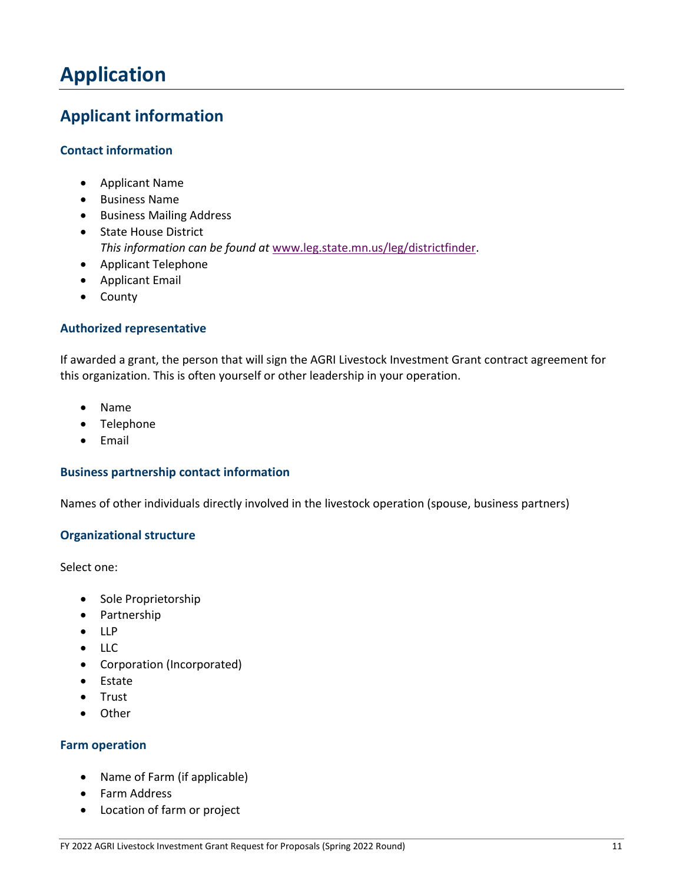## <span id="page-12-0"></span>**Application**

## <span id="page-12-1"></span>**Applicant information**

### **Contact information**

- Applicant Name
- Business Name
- Business Mailing Address
- State House District *This information can be found at* [www.leg.state.mn.us/leg/districtfinder.](http://www.leg.state.mn.us/leg/districtfinder)
- Applicant Telephone
- Applicant Email
- County

### **Authorized representative**

If awarded a grant, the person that will sign the AGRI Livestock Investment Grant contract agreement for this organization. This is often yourself or other leadership in your operation.

- Name
- Telephone
- Email

### **Business partnership contact information**

Names of other individuals directly involved in the livestock operation (spouse, business partners)

#### **Organizational structure**

Select one:

- Sole Proprietorship
- Partnership
- LLP
- LLC
- Corporation (Incorporated)
- Estate
- Trust
- Other

### **Farm operation**

- Name of Farm (if applicable)
- Farm Address
- Location of farm or project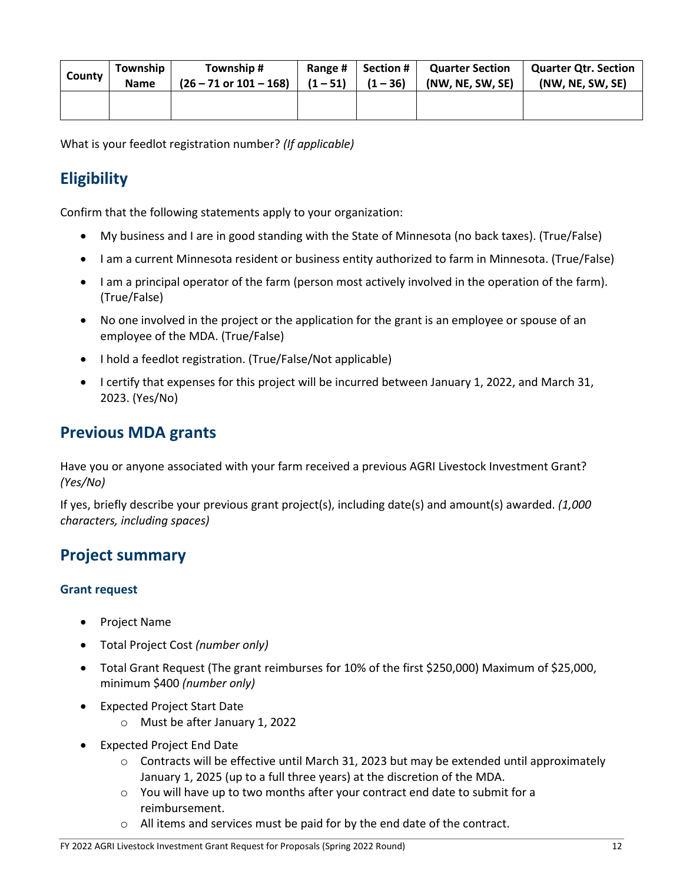| County | Township    | Township #                        | Range #    | Section # I | <b>Quarter Section</b> | <b>Quarter Qtr. Section</b> |
|--------|-------------|-----------------------------------|------------|-------------|------------------------|-----------------------------|
|        | <b>Name</b> | $(26 - 71 \text{ or } 101 - 168)$ | $(1 - 51)$ | $(1 - 36)$  | (NW, NE, SW, SE)       | (NW, NE, SW, SE)            |
|        |             |                                   |            |             |                        |                             |

What is your feedlot registration number? *(If applicable)*

## <span id="page-13-0"></span>**Eligibility**

Confirm that the following statements apply to your organization:

- My business and I are in good standing with the State of Minnesota (no back taxes). (True/False)
- I am a current Minnesota resident or business entity authorized to farm in Minnesota. (True/False)
- I am a principal operator of the farm (person most actively involved in the operation of the farm). (True/False)
- No one involved in the project or the application for the grant is an employee or spouse of an employee of the MDA. (True/False)
- I hold a feedlot registration. (True/False/Not applicable)
- I certify that expenses for this project will be incurred between January 1, 2022, and March 31, 2023. (Yes/No)

### <span id="page-13-1"></span>**Previous MDA grants**

Have you or anyone associated with your farm received a previous AGRI Livestock Investment Grant? *(Yes/No)*

If yes, briefly describe your previous grant project(s), including date(s) and amount(s) awarded. *(1,000 characters, including spaces)*

### <span id="page-13-2"></span>**Project summary**

### **Grant request**

- Project Name
- Total Project Cost *(number only)*
- Total Grant Request (The grant reimburses for 10% of the first \$250,000) Maximum of \$25,000, minimum \$400 *(number only)*
- Expected Project Start Date
	- o Must be after January 1, 2022
- Expected Project End Date
	- o Contracts will be effective until March 31, 2023 but may be extended until approximately January 1, 2025 (up to a full three years) at the discretion of the MDA.
	- $\circ$  You will have up to two months after your contract end date to submit for a reimbursement.
	- $\circ$  All items and services must be paid for by the end date of the contract.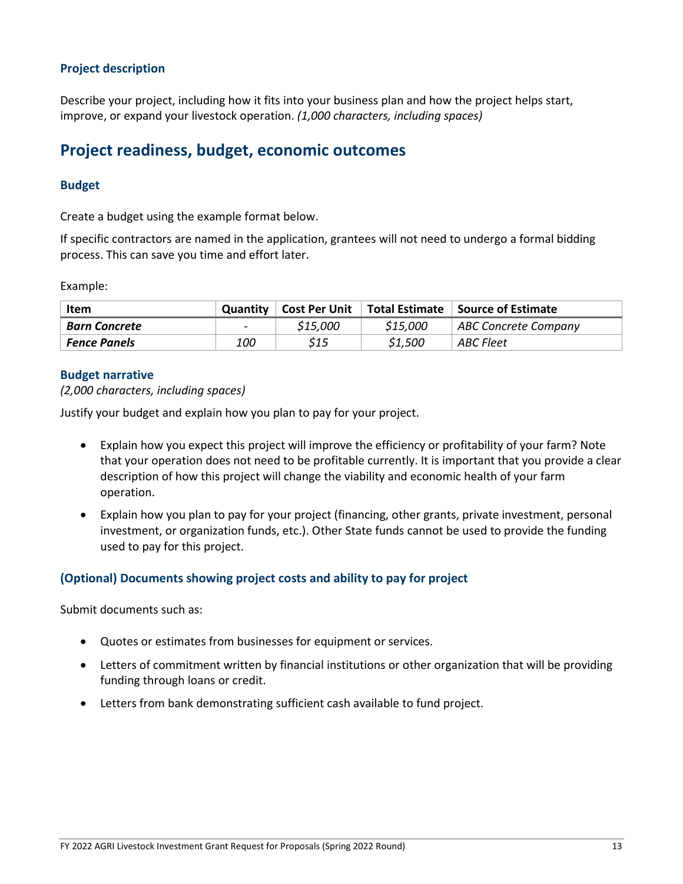### **Project description**

Describe your project, including how it fits into your business plan and how the project helps start, improve, or expand your livestock operation. *(1,000 characters, including spaces)*

## <span id="page-14-0"></span>**Project readiness, budget, economic outcomes**

### **Budget**

Create a budget using the example format below.

If specific contractors are named in the application, grantees will not need to undergo a formal bidding process. This can save you time and effort later.

Example:

| Item                | <b>Quantity</b> | Cost Per Unit |          | Total Estimate   Source of Estimate |
|---------------------|-----------------|---------------|----------|-------------------------------------|
| Barn Concrete       | $\sim$          | \$15,000      | \$15,000 | ABC Concrete Company                |
| <b>Fence Panels</b> | 100             | \$15          | \$1,500  | ABC Fleet                           |

### **Budget narrative**

*(2,000 characters, including spaces)*

Justify your budget and explain how you plan to pay for your project.

- Explain how you expect this project will improve the efficiency or profitability of your farm? Note that your operation does not need to be profitable currently. It is important that you provide a clear description of how this project will change the viability and economic health of your farm operation.
- Explain how you plan to pay for your project (financing, other grants, private investment, personal investment, or organization funds, etc.). Other State funds cannot be used to provide the funding used to pay for this project.

### **(Optional) Documents showing project costs and ability to pay for project**

Submit documents such as:

- Quotes or estimates from businesses for equipment or services.
- Letters of commitment written by financial institutions or other organization that will be providing funding through loans or credit.
- Letters from bank demonstrating sufficient cash available to fund project.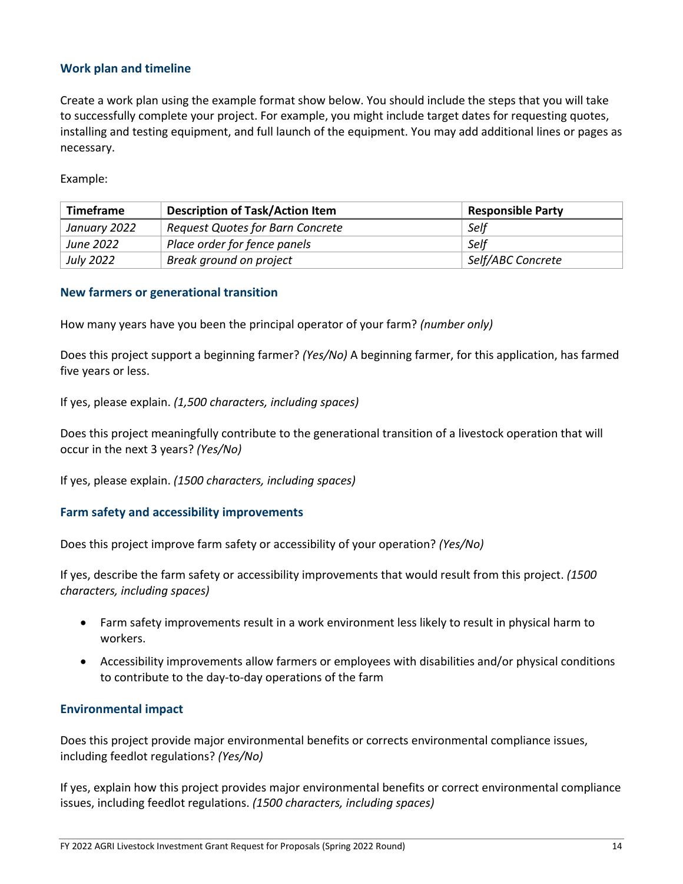### **Work plan and timeline**

Create a work plan using the example format show below. You should include the steps that you will take to successfully complete your project. For example, you might include target dates for requesting quotes, installing and testing equipment, and full launch of the equipment. You may add additional lines or pages as necessary.

Example:

| <b>Timeframe</b> | <b>Description of Task/Action Item</b> | <b>Responsible Party</b> |
|------------------|----------------------------------------|--------------------------|
| January 2022     | Request Quotes for Barn Concrete       | Self                     |
| <b>June 2022</b> | Place order for fence panels           | . Self                   |
| <b>July 2022</b> | Break ground on project                | Self/ABC Concrete        |

### **New farmers or generational transition**

How many years have you been the principal operator of your farm? *(number only)*

Does this project support a beginning farmer? *(Yes/No)* A beginning farmer, for this application, has farmed five years or less.

If yes, please explain. *(1,500 characters, including spaces)*

Does this project meaningfully contribute to the generational transition of a livestock operation that will occur in the next 3 years? *(Yes/No)*

If yes, please explain. *(1500 characters, including spaces)*

#### **Farm safety and accessibility improvements**

Does this project improve farm safety or accessibility of your operation? *(Yes/No)*

If yes, describe the farm safety or accessibility improvements that would result from this project. *(1500 characters, including spaces)*

- Farm safety improvements result in a work environment less likely to result in physical harm to workers.
- Accessibility improvements allow farmers or employees with disabilities and/or physical conditions to contribute to the day-to-day operations of the farm

#### **Environmental impact**

Does this project provide major environmental benefits or corrects environmental compliance issues, including feedlot regulations? *(Yes/No)*

If yes, explain how this project provides major environmental benefits or correct environmental compliance issues, including feedlot regulations. *(1500 characters, including spaces)*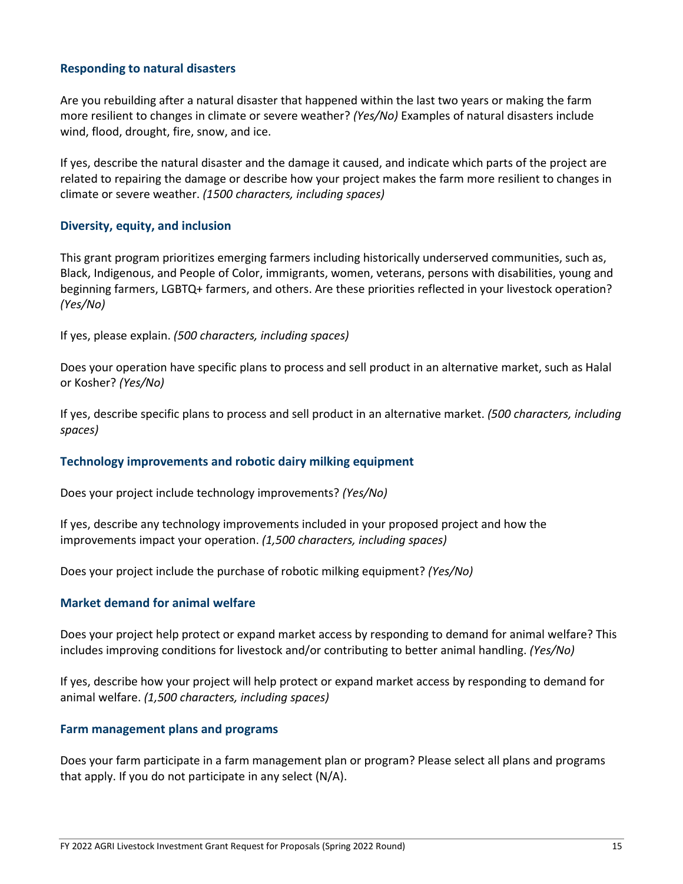### **Responding to natural disasters**

Are you rebuilding after a natural disaster that happened within the last two years or making the farm more resilient to changes in climate or severe weather? *(Yes/No)* Examples of natural disasters include wind, flood, drought, fire, snow, and ice.

If yes, describe the natural disaster and the damage it caused, and indicate which parts of the project are related to repairing the damage or describe how your project makes the farm more resilient to changes in climate or severe weather. *(1500 characters, including spaces)*

### **Diversity, equity, and inclusion**

This grant program prioritizes emerging farmers including historically underserved communities, such as, Black, Indigenous, and People of Color, immigrants, women, veterans, persons with disabilities, young and beginning farmers, LGBTQ+ farmers, and others. Are these priorities reflected in your livestock operation? *(Yes/No)*

If yes, please explain. *(500 characters, including spaces)*

Does your operation have specific plans to process and sell product in an alternative market, such as Halal or Kosher? *(Yes/No)*

If yes, describe specific plans to process and sell product in an alternative market. *(500 characters, including spaces)*

### **Technology improvements and robotic dairy milking equipment**

Does your project include technology improvements? *(Yes/No)*

If yes, describe any technology improvements included in your proposed project and how the improvements impact your operation. *(1,500 characters, including spaces)*

Does your project include the purchase of robotic milking equipment? *(Yes/No)*

### **Market demand for animal welfare**

Does your project help protect or expand market access by responding to demand for animal welfare? This includes improving conditions for livestock and/or contributing to better animal handling. *(Yes/No)*

If yes, describe how your project will help protect or expand market access by responding to demand for animal welfare. *(1,500 characters, including spaces)*

#### **Farm management plans and programs**

Does your farm participate in a farm management plan or program? Please select all plans and programs that apply. If you do not participate in any select (N/A).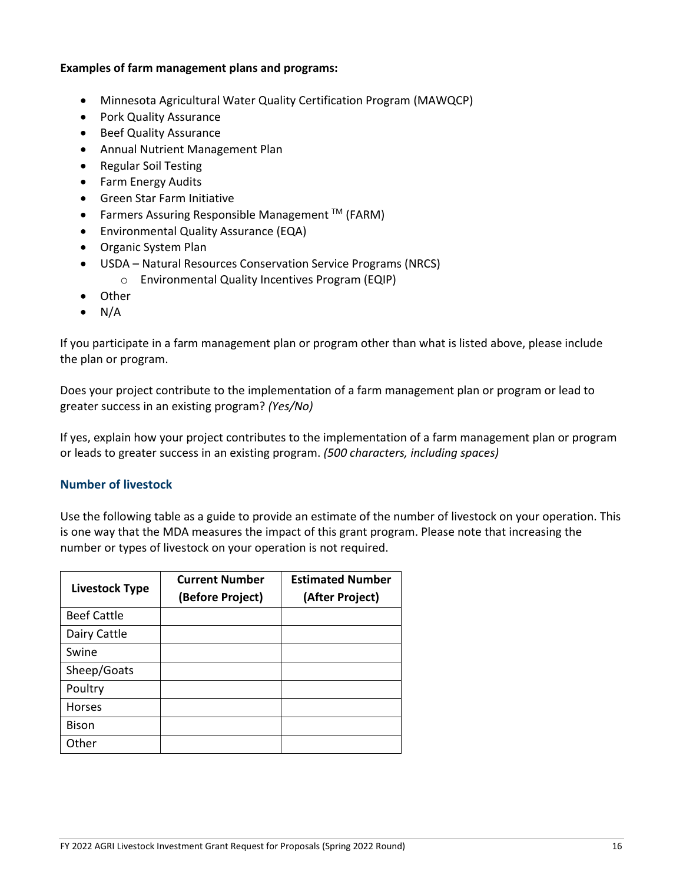### **Examples of farm management plans and programs:**

- Minnesota Agricultural Water Quality Certification Program (MAWQCP)
- Pork Quality Assurance
- Beef Quality Assurance
- Annual Nutrient Management Plan
- Regular Soil Testing
- Farm Energy Audits
- Green Star Farm Initiative
- Farmers Assuring Responsible Management  $TM$  (FARM)
- Environmental Quality Assurance (EQA)
- Organic System Plan
- USDA Natural Resources Conservation Service Programs (NRCS)
	- o Environmental Quality Incentives Program (EQIP)
- Other
- $\bullet$  N/A

If you participate in a farm management plan or program other than what is listed above, please include the plan or program.

Does your project contribute to the implementation of a farm management plan or program or lead to greater success in an existing program? *(Yes/No)*

If yes, explain how your project contributes to the implementation of a farm management plan or program or leads to greater success in an existing program. *(500 characters, including spaces)*

### **Number of livestock**

Use the following table as a guide to provide an estimate of the number of livestock on your operation. This is one way that the MDA measures the impact of this grant program. Please note that increasing the number or types of livestock on your operation is not required.

| <b>Livestock Type</b> | <b>Current Number</b><br>(Before Project) | <b>Estimated Number</b><br>(After Project) |
|-----------------------|-------------------------------------------|--------------------------------------------|
| <b>Beef Cattle</b>    |                                           |                                            |
| Dairy Cattle          |                                           |                                            |
| Swine                 |                                           |                                            |
| Sheep/Goats           |                                           |                                            |
| Poultry               |                                           |                                            |
| <b>Horses</b>         |                                           |                                            |
| <b>Bison</b>          |                                           |                                            |
| Other                 |                                           |                                            |